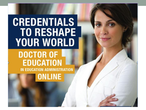# **CREDENTIALS TO RESHAPE YOUR WORLD**

#### **DOCTOR OF EDUCATION** IN EDUCATION ADMINISTRATION **ONLINE**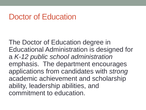#### Doctor of Education

The Doctor of Education degree in Educational Administration is designed for a *K-12 public school administration* emphasis. The department encourages applications from candidates with *strong* academic achievement and scholarship ability, leadership abilities, and commitment to education.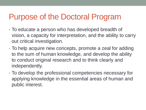## Purpose of the Doctoral Program

- To educate a person who has developed breadth of vision, a capacity for interpretation, and the ability to carry out critical investigation.
- To help acquire new concepts, promote a zeal for adding to the sum of human knowledge, and develop the ability to conduct original research and to think clearly and independently.
- To develop the professional competencies necessary for applying knowledge in the essential areas of human and public interest.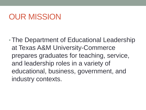# OUR MISSION

•The Department of Educational Leadership at Texas A&M University-Commerce prepares graduates for teaching, service, and leadership roles in a variety of educational, business, government, and industry contexts.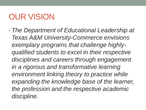# OUR VISION

• *The Department of Educational Leadership at Texas A&M University-Commerce envisions exemplary programs that challenge highlyqualified students to excel in their respective disciplines and careers through engagement in a rigorous and transformative learning environment linking theory to practice while expanding the knowledge base of the learner, the profession and the respective academic discipline.*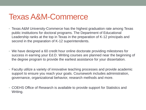#### Texas A&M-Commerce

- Texas A&M University-Commerce has the highest graduation rate among Texas public institutions for doctoral programs. The Department of Educational Leadership ranks at the top in Texas in the preparation of K-12 principals and second in the preparation of K-12 superintendents.
- We have designed a 60 credit hour online doctorate providing milestones for success in earning your Ed.D. Writing courses are planned near the beginning of the degree program to provide the earliest assistance for your dissertation.
- Faculty utilize a variety of innovative teaching processes and provide academic support to ensure you reach your goals. Coursework includes administration, governance, organizational behavior, research methods and more.
- COEHS Office of Research is available to provide support for Statistics and Writing.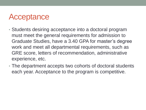#### Acceptance

- Students desiring acceptance into a doctoral program must meet the general requirements for admission to Graduate Studies, have a 3.40 GPA for master's degree work and meet all departmental requirements, such as GRE score, letters of recommendation, administrative experience, etc.
- The department accepts two cohorts of doctoral students each year. Acceptance to the program is competitive.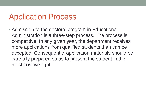# Application Process

• Admission to the doctoral program in Educational Administration is a three-step process. The process is competitive. In any given year, the department receives more applications from qualified students than can be accepted. Consequently, application materials should be carefully prepared so as to present the student in the most positive light.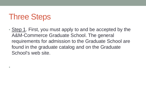# Three Steps

•

• Step 1. First, you must apply to and be accepted by the A&M-Commerce Graduate School. The general requirements for admission to the Graduate School are found in the graduate catalog and on the Graduate School's web site.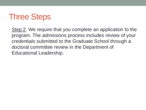# Three Steps

• Step 2. We require that you complete an application to the program. The admissions process includes review of your credentials submitted to the Graduate School through a doctoral committee review in the Department of Educational Leadership.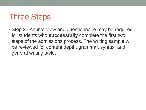# Three Steps

• Step 3. An interview and questionnaire may be required for students who **successfully** complete the first two steps of the admissions process. The writing sample will be reviewed for content depth, grammar, syntax, and general writing style.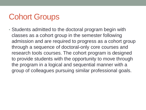# Cohort Groups

• Students admitted to the doctoral program begin with classes as a cohort group in the semester following admission and are required to progress as a cohort group through a sequence of doctoral-only core courses and research tools courses. The cohort program is designed to provide students with the opportunity to move through the program in a logical and sequential manner with a group of colleagues pursuing similar professional goals.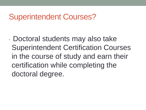#### Superintendent Courses?

• Doctoral students may also take Superintendent Certification Courses in the course of study and earn their certification while completing the doctoral degree.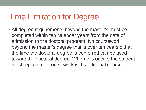# Time Limitation for Degree

• All degree requirements beyond the master's must be completed within ten calendar years from the date of admission to the doctoral program. No coursework beyond the master's degree that is over ten years old at the time the doctoral degree is conferred can be used toward the doctoral degree. When this occurs the student must replace old coursework with additional courses.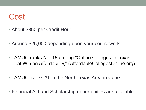#### Cost

- About \$350 per Credit Hour
- Around \$25,000 depending upon your coursework
- TAMUC ranks No. 18 among "Online Colleges in Texas That Win on Affordability," (AffordableCollegesOnline.org)
- TAMUC ranks #1 in the North Texas Area in value
- Financial Aid and Scholarship opportunities are available.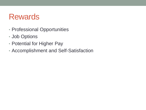#### Rewards

- Professional Opportunities
- Job Options
- Potential for Higher Pay
- Accomplishment and Self-Satisfaction